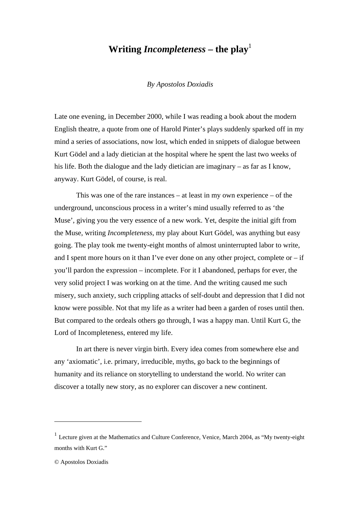## **Writing** *Incompleteness* – the play<sup>1</sup>

*By Apostolos Doxiadis* 

Late one evening, in December 2000, while I was reading a book about the modern English theatre, a quote from one of Harold Pinter's plays suddenly sparked off in my mind a series of associations, now lost, which ended in snippets of dialogue between Kurt Gödel and a lady dietician at the hospital where he spent the last two weeks of his life. Both the dialogue and the lady dietician are imaginary – as far as I know, anyway. Kurt Gödel, of course, is real.

This was one of the rare instances – at least in my own experience – of the underground, unconscious process in a writer's mind usually referred to as 'the Muse', giving you the very essence of a new work. Yet, despite the initial gift from the Muse, writing *Incompleteness*, my play about Kurt Gödel, was anything but easy going. The play took me twenty-eight months of almost uninterrupted labor to write, and I spent more hours on it than I've ever done on any other project, complete or  $-$  if you'll pardon the expression – incomplete. For it I abandoned, perhaps for ever, the very solid project I was working on at the time. And the writing caused me such misery, such anxiety, such crippling attacks of self-doubt and depression that I did not know were possible. Not that my life as a writer had been a garden of roses until then. But compared to the ordeals others go through, I was a happy man. Until Kurt G, the Lord of Incompleteness, entered my life.

In art there is never virgin birth. Every idea comes from somewhere else and any 'axiomatic', i.e. primary, irreducible, myths, go back to the beginnings of humanity and its reliance on storytelling to understand the world. No writer can discover a totally new story, as no explorer can discover a new continent.

l

<sup>&</sup>lt;sup>1</sup> Lecture given at the Mathematics and Culture Conference, Venice, March 2004, as "My twenty-eight months with Kurt G."

<sup>©</sup> Apostolos Doxiadis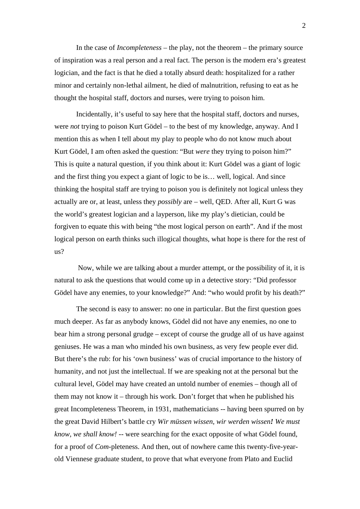In the case of *Incompleteness* – the play, not the theorem – the primary source of inspiration was a real person and a real fact. The person is the modern era's greatest logician, and the fact is that he died a totally absurd death: hospitalized for a rather minor and certainly non-lethal ailment, he died of malnutrition, refusing to eat as he thought the hospital staff, doctors and nurses, were trying to poison him.

Incidentally, it's useful to say here that the hospital staff, doctors and nurses, were *not* trying to poison Kurt Gödel – to the best of my knowledge, anyway. And I mention this as when I tell about my play to people who do not know much about Kurt Gödel, I am often asked the question: "But *were* they trying to poison him?" This is quite a natural question, if you think about it: Kurt Gödel was a giant of logic and the first thing you expect a giant of logic to be is… well, logical. And since thinking the hospital staff are trying to poison you is definitely not logical unless they actually are or, at least, unless they *possibly* are – well, QED. After all, Kurt G was the world's greatest logician and a layperson, like my play's dietician, could be forgiven to equate this with being "the most logical person on earth". And if the most logical person on earth thinks such illogical thoughts, what hope is there for the rest of  $_{\text{us}}$ ?

 Now, while we are talking about a murder attempt, or the possibility of it, it is natural to ask the questions that would come up in a detective story: "Did professor Gödel have any enemies, to your knowledge?" And: "who would profit by his death?"

The second is easy to answer: no one in particular. But the first question goes much deeper. As far as anybody knows, Gödel did not have any enemies, no one to bear him a strong personal grudge – except of course the grudge all of us have against geniuses. He was a man who minded his own business, as very few people ever did. But there's the rub: for his 'own business' was of crucial importance to the history of humanity, and not just the intellectual. If we are speaking not at the personal but the cultural level, Gödel may have created an untold number of enemies – though all of them may not know it – through his work. Don't forget that when he published his great Incompleteness Theorem, in 1931, mathematicians -- having been spurred on by the great David Hilbert's battle cry *Wir müssen wissen, wir werden wissen! We must know, we shall know! --* were searching for the exact opposite of what Gödel found, for a proof of *Com*-pleteness. And then, out of nowhere came this twenty-five-yearold Viennese graduate student, to prove that what everyone from Plato and Euclid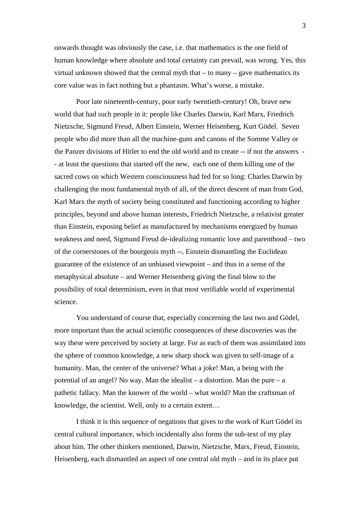onwards thought was obviously the case, i.e. that mathematics is the one field of human knowledge where absolute and total certainty can prevail, was wrong. Yes, this virtual unknown showed that the central myth that – to many – gave mathematics its core value was in fact nothing but a phantasm. What's worse, a mistake.

Poor late nineteenth-century, poor early twentieth-century! Oh, brave new world that had such people in it: people like Charles Darwin, Karl Marx, Friedrich Nietzsche, Sigmund Freud, Albert Einstein, Werner Heisenberg, Kurt Gödel. Seven people who did more than all the machine-guns and canons of the Somme Valley or the Panzer divisions of Hitler to end the old world and to create -- if not the answers - - at least the questions that started off the new, each one of them killing one of the sacred cows on which Western consciousness had fed for so long: Charles Darwin by challenging the most fundamental myth of all, of the direct descent of man from God, Karl Marx the myth of society being constituted and functioning according to higher principles, beyond and above human interests, Friedrich Nietzsche, a relativist greater than Einstein, exposing belief as manufactured by mechanisms energized by human weakness and need, Sigmund Freud de-idealizing romantic love and parenthood – two of the cornerstones of the bourgeois myth --, Einstein dismantling the Euclidean guarantee of the existence of an unbiased viewpoint – and thus in a sense of the metaphysical absolute – and Werner Heisenberg giving the final blow to the possibility of total determinism, even in that most verifiable world of experimental science.

You understand of course that, especially concerning the last two and Gödel, more important than the actual scientific consequences of these discoveries was the way these were perceived by society at large. For as each of them was assimilated into the sphere of common knowledge, a new sharp shock was given to self-image of a humanity. Man, the center of the universe? What a joke! Man, a being with the potential of an angel? No way. Man the idealist – a distortion. Man the pure – a pathetic fallacy. Man the knower of the world – what world? Man the craftsman of knowledge, the scientist. Well, only to a certain extent…

I think it is this sequence of negations that gives to the work of Kurt Gödel its central cultural importance, which incidentally also forms the sub-text of my play about him. The other thinkers mentioned, Darwin, Nietzsche, Marx, Freud, Einstein, Heisenberg, each dismantled an aspect of one central old myth – and in its place put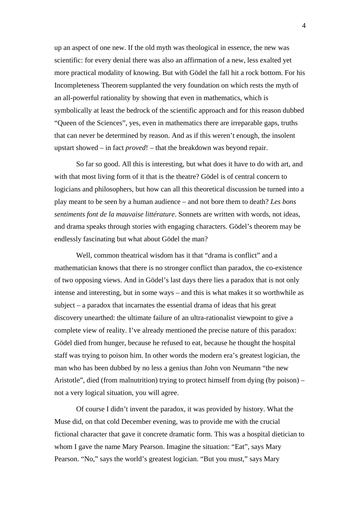up an aspect of one new. If the old myth was theological in essence, the new was scientific: for every denial there was also an affirmation of a new, less exalted yet more practical modality of knowing. But with Gödel the fall hit a rock bottom. For his Incompleteness Theorem supplanted the very foundation on which rests the myth of an all-powerful rationality by showing that even in mathematics, which is symbolically at least the bedrock of the scientific approach and for this reason dubbed "Queen of the Sciences", yes, even in mathematics there are irreparable gaps, truths that can never be determined by reason. And as if this weren't enough, the insolent upstart showed – in fact *proved*! – that the breakdown was beyond repair.

So far so good. All this is interesting, but what does it have to do with art, and with that most living form of it that is the theatre? Gödel is of central concern to logicians and philosophers, but how can all this theoretical discussion be turned into a play meant to be seen by a human audience – and not bore them to death? *Les bons sentiments font de la mauvaise littérature*. Sonnets are written with words, not ideas, and drama speaks through stories with engaging characters. Gödel's theorem may be endlessly fascinating but what about Gödel the man?

Well, common theatrical wisdom has it that "drama is conflict" and a mathematician knows that there is no stronger conflict than paradox, the co-existence of two opposing views. And in Gödel's last days there lies a paradox that is not only intense and interesting, but in some ways – and this is what makes it so worthwhile as subject – a paradox that incarnates the essential drama of ideas that his great discovery unearthed: the ultimate failure of an ultra-rationalist viewpoint to give a complete view of reality. I've already mentioned the precise nature of this paradox: Gödel died from hunger, because he refused to eat, because he thought the hospital staff was trying to poison him. In other words the modern era's greatest logician, the man who has been dubbed by no less a genius than John von Neumann "the new Aristotle", died (from malnutrition) trying to protect himself from dying (by poison) – not a very logical situation, you will agree.

Of course I didn't invent the paradox, it was provided by history. What the Muse did, on that cold December evening, was to provide me with the crucial fictional character that gave it concrete dramatic form. This was a hospital dietician to whom I gave the name Mary Pearson. Imagine the situation: "Eat", says Mary Pearson. "No," says the world's greatest logician. "But you must," says Mary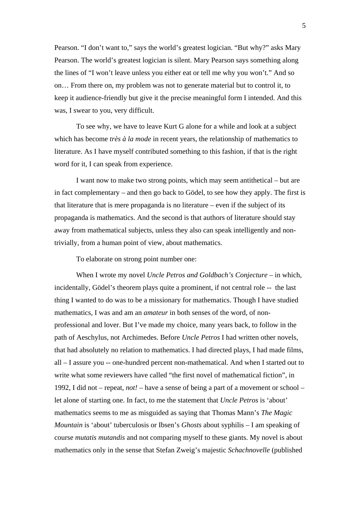Pearson. "I don't want to," says the world's greatest logician. "But why?" asks Mary Pearson. The world's greatest logician is silent. Mary Pearson says something along the lines of "I won't leave unless you either eat or tell me why you won't." And so on… From there on, my problem was not to generate material but to control it, to keep it audience-friendly but give it the precise meaningful form I intended. And this was, I swear to you, very difficult.

To see why, we have to leave Kurt G alone for a while and look at a subject which has become *très à la mode* in recent years, the relationship of mathematics to literature. As I have myself contributed something to this fashion, if that is the right word for it, I can speak from experience.

I want now to make two strong points, which may seem antithetical – but are in fact complementary – and then go back to Gödel, to see how they apply. The first is that literature that is mere propaganda is no literature – even if the subject of its propaganda is mathematics. And the second is that authors of literature should stay away from mathematical subjects, unless they also can speak intelligently and nontrivially, from a human point of view, about mathematics.

To elaborate on strong point number one:

When I wrote my novel *Uncle Petros and Goldbach's Conjecture* – in which, incidentally, Gödel's theorem plays quite a prominent, if not central role -- the last thing I wanted to do was to be a missionary for mathematics. Though I have studied mathematics, I was and am an *amateur* in both senses of the word, of nonprofessional and lover. But I've made my choice, many years back, to follow in the path of Aeschylus, not Archimedes. Before *Uncle Petros* I had written other novels, that had absolutely no relation to mathematics. I had directed plays, I had made films, all – I assure you -- one-hundred percent non-mathematical. And when I started out to write what some reviewers have called "the first novel of mathematical fiction", in 1992, I did not – repeat, *not!* – have a sense of being a part of a movement or school – let alone of starting one. In fact, to me the statement that *Uncle Petros* is 'about' mathematics seems to me as misguided as saying that Thomas Mann's *The Magic Mountain* is 'about' tuberculosis or Ibsen's *Ghosts* about syphilis – I am speaking of course *mutatis mutandis* and not comparing myself to these giants. My novel is about mathematics only in the sense that Stefan Zweig's majestic *Schachnovelle* (published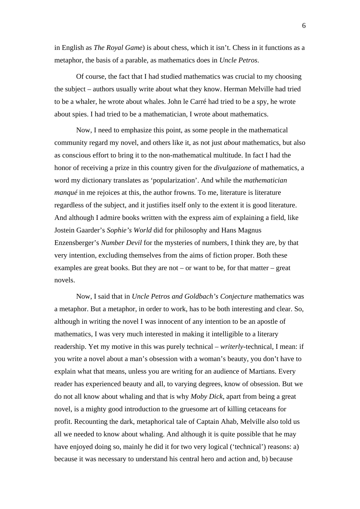in English as *The Royal Game*) is about chess, which it isn't. Chess in it functions as a metaphor, the basis of a parable, as mathematics does in *Uncle Petros*.

Of course, the fact that I had studied mathematics was crucial to my choosing the subject – authors usually write about what they know. Herman Melville had tried to be a whaler, he wrote about whales. John le Carré had tried to be a spy, he wrote about spies. I had tried to be a mathematician, I wrote about mathematics.

Now, I need to emphasize this point, as some people in the mathematical community regard my novel, and others like it, as not just *about* mathematics, but also as conscious effort to bring it to the non-mathematical multitude. In fact I had the honor of receiving a prize in this country given for the *divulgazione* of mathematics, a word my dictionary translates as 'popularization'. And while the *mathematician manqué* in me rejoices at this, the author frowns. To me, literature is literature regardless of the subject, and it justifies itself only to the extent it is good literature. And although I admire books written with the express aim of explaining a field, like Jostein Gaarder's *Sophie's World* did for philosophy and Hans Magnus Enzensberger's *Number Devil* for the mysteries of numbers, I think they are, by that very intention, excluding themselves from the aims of fiction proper. Both these examples are great books. But they are not – or want to be, for that matter – great novels.

Now, I said that in *Uncle Petros and Goldbach's Conjecture* mathematics was a metaphor. But a metaphor, in order to work, has to be both interesting and clear. So, although in writing the novel I was innocent of any intention to be an apostle of mathematics, I was very much interested in making it intelligible to a literary readership. Yet my motive in this was purely technical – *writerly*-technical, I mean: if you write a novel about a man's obsession with a woman's beauty, you don't have to explain what that means, unless you are writing for an audience of Martians. Every reader has experienced beauty and all, to varying degrees, know of obsession. But we do not all know about whaling and that is why *Moby Dick*, apart from being a great novel, is a mighty good introduction to the gruesome art of killing cetaceans for profit. Recounting the dark, metaphorical tale of Captain Ahab, Melville also told us all we needed to know about whaling. And although it is quite possible that he may have enjoyed doing so, mainly he did it for two very logical ('technical') reasons: a) because it was necessary to understand his central hero and action and, b) because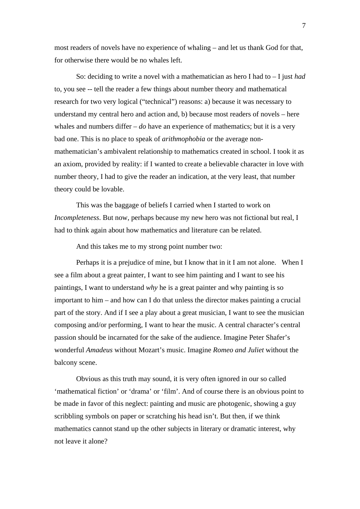most readers of novels have no experience of whaling – and let us thank God for that, for otherwise there would be no whales left.

So: deciding to write a novel with a mathematician as hero I had to – I just *had* to, you see -- tell the reader a few things about number theory and mathematical research for two very logical ("technical") reasons: a) because it was necessary to understand my central hero and action and, b) because most readers of novels – here whales and numbers differ – *do* have an experience of mathematics; but it is a very bad one. This is no place to speak of *arithmophobia* or the average nonmathematician's ambivalent relationship to mathematics created in school. I took it as an axiom, provided by reality: if I wanted to create a believable character in love with number theory, I had to give the reader an indication, at the very least, that number theory could be lovable.

This was the baggage of beliefs I carried when I started to work on *Incompleteness*. But now, perhaps because my new hero was not fictional but real, I had to think again about how mathematics and literature can be related.

And this takes me to my strong point number two:

Perhaps it is a prejudice of mine, but I know that in it I am not alone. When I see a film about a great painter, I want to see him painting and I want to see his paintings, I want to understand *why* he is a great painter and why painting is so important to him – and how can I do that unless the director makes painting a crucial part of the story. And if I see a play about a great musician, I want to see the musician composing and/or performing, I want to hear the music. A central character's central passion should be incarnated for the sake of the audience. Imagine Peter Shafer's wonderful *Amadeus* without Mozart's music. Imagine *Romeo and Juliet* without the balcony scene.

Obvious as this truth may sound, it is very often ignored in our so called 'mathematical fiction' or 'drama' or 'film'. And of course there is an obvious point to be made in favor of this neglect: painting and music are photogenic, showing a guy scribbling symbols on paper or scratching his head isn't. But then, if we think mathematics cannot stand up the other subjects in literary or dramatic interest, why not leave it alone?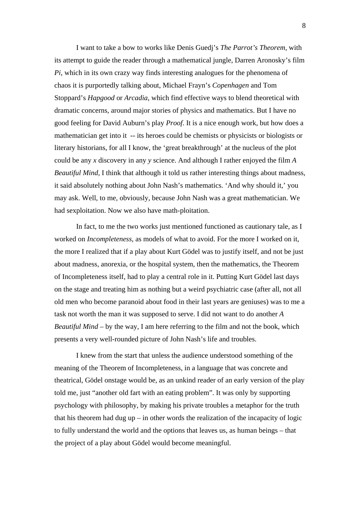I want to take a bow to works like Denis Guedj's *The Parrot's Theorem*, with its attempt to guide the reader through a mathematical jungle, Darren Aronosky's film *Pi*, which in its own crazy way finds interesting analogues for the phenomena of chaos it is purportedly talking about, Michael Frayn's *Copenhagen* and Tom Stoppard's *Hapgood* or *Arcadia*, which find effective ways to blend theoretical with dramatic concerns, around major stories of physics and mathematics. But I have no good feeling for David Auburn's play *Proof*. It is a nice enough work, but how does a mathematician get into it -- its heroes could be chemists or physicists or biologists or literary historians, for all I know, the 'great breakthrough' at the nucleus of the plot could be any *x* discovery in any *y* science. And although I rather enjoyed the film *A Beautiful Mind,* I think that although it told us rather interesting things about madness, it said absolutely nothing about John Nash's mathematics. 'And why should it,' you may ask. Well, to me, obviously, because John Nash was a great mathematician. We had sexploitation. Now we also have math-ploitation.

In fact, to me the two works just mentioned functioned as cautionary tale, as I worked on *Incompleteness*, as models of what to avoid. For the more I worked on it, the more I realized that if a play about Kurt Gödel was to justify itself, and not be just about madness, anorexia, or the hospital system, then the mathematics, the Theorem of Incompleteness itself, had to play a central role in it. Putting Kurt Gödel last days on the stage and treating him as nothing but a weird psychiatric case (after all, not all old men who become paranoid about food in their last years are geniuses) was to me a task not worth the man it was supposed to serve. I did not want to do another *A Beautiful Mind* – by the way, I am here referring to the film and not the book, which presents a very well-rounded picture of John Nash's life and troubles.

I knew from the start that unless the audience understood something of the meaning of the Theorem of Incompleteness, in a language that was concrete and theatrical, Gödel onstage would be, as an unkind reader of an early version of the play told me, just "another old fart with an eating problem". It was only by supporting psychology with philosophy, by making his private troubles a metaphor for the truth that his theorem had dug up – in other words the realization of the incapacity of logic to fully understand the world and the options that leaves us, as human beings – that the project of a play about Gödel would become meaningful.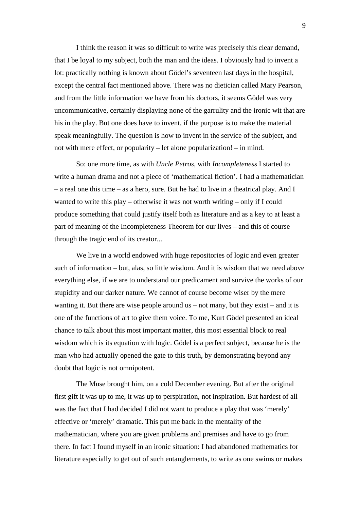I think the reason it was so difficult to write was precisely this clear demand, that I be loyal to my subject, both the man and the ideas. I obviously had to invent a lot: practically nothing is known about Gödel's seventeen last days in the hospital, except the central fact mentioned above. There was no dietician called Mary Pearson, and from the little information we have from his doctors, it seems Gödel was very uncommunicative, certainly displaying none of the garrulity and the ironic wit that are his in the play. But one does have to invent, if the purpose is to make the material speak meaningfully. The question is how to invent in the service of the subject, and not with mere effect, or popularity – let alone popularization! – in mind.

So: one more time, as with *Uncle Petros*, with *Incompleteness* I started to write a human drama and not a piece of 'mathematical fiction'. I had a mathematician – a real one this time – as a hero, sure. But he had to live in a theatrical play. And I wanted to write this play – otherwise it was not worth writing – only if I could produce something that could justify itself both as literature and as a key to at least a part of meaning of the Incompleteness Theorem for our lives – and this of course through the tragic end of its creator...

We live in a world endowed with huge repositories of logic and even greater such of information – but, alas, so little wisdom. And it is wisdom that we need above everything else, if we are to understand our predicament and survive the works of our stupidity and our darker nature. We cannot of course become wiser by the mere wanting it. But there are wise people around us – not many, but they exist – and it is one of the functions of art to give them voice. To me, Kurt Gödel presented an ideal chance to talk about this most important matter, this most essential block to real wisdom which is its equation with logic. Gödel is a perfect subject, because he is the man who had actually opened the gate to this truth, by demonstrating beyond any doubt that logic is not omnipotent.

The Muse brought him, on a cold December evening. But after the original first gift it was up to me, it was up to perspiration, not inspiration. But hardest of all was the fact that I had decided I did not want to produce a play that was 'merely' effective or 'merely' dramatic. This put me back in the mentality of the mathematician, where you are given problems and premises and have to go from there. In fact I found myself in an ironic situation: I had abandoned mathematics for literature especially to get out of such entanglements, to write as one swims or makes